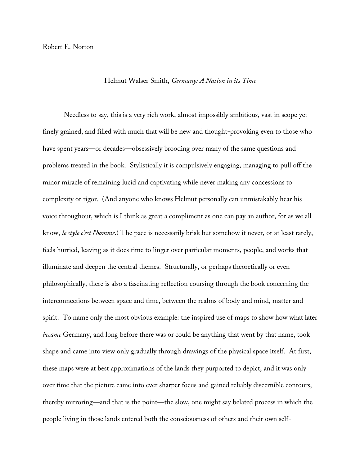## Helmut Walser Smith, *Germany: A Nation in its Time*

Needless to say, this is a very rich work, almost impossibly ambitious, vast in scope yet finely grained, and filled with much that will be new and thought-provoking even to those who have spent years—or decades—obsessively brooding over many of the same questions and problems treated in the book. Stylistically it is compulsively engaging, managing to pull off the minor miracle of remaining lucid and captivating while never making any concessions to complexity or rigor. (And anyone who knows Helmut personally can unmistakably hear his voice throughout, which is I think as great a compliment as one can pay an author, for as we all know, *le style c'est l'homme*.) The pace is necessarily brisk but somehow it never, or at least rarely, feels hurried, leaving as it does time to linger over particular moments, people, and works that illuminate and deepen the central themes. Structurally, or perhaps theoretically or even philosophically, there is also a fascinating reflection coursing through the book concerning the interconnections between space and time, between the realms of body and mind, matter and spirit. To name only the most obvious example: the inspired use of maps to show how what later *became* Germany, and long before there was or could be anything that went by that name, took shape and came into view only gradually through drawings of the physical space itself. At first, these maps were at best approximations of the lands they purported to depict, and it was only over time that the picture came into ever sharper focus and gained reliably discernible contours, thereby mirroring—and that is the point—the slow, one might say belated process in which the people living in those lands entered both the consciousness of others and their own self-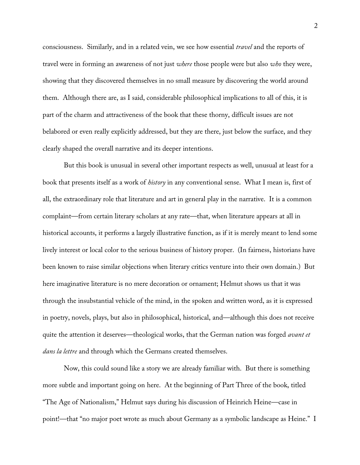consciousness. Similarly, and in a related vein, we see how essential *travel* and the reports of travel were in forming an awareness of not just *where* those people were but also *who* they were, showing that they discovered themselves in no small measure by discovering the world around them. Although there are, as I said, considerable philosophical implications to all of this, it is part of the charm and attractiveness of the book that these thorny, difficult issues are not belabored or even really explicitly addressed, but they are there, just below the surface, and they clearly shaped the overall narrative and its deeper intentions.

But this book is unusual in several other important respects as well, unusual at least for a book that presents itself as a work of *history* in any conventional sense. What I mean is, first of all, the extraordinary role that literature and art in general play in the narrative. It is a common complaint—from certain literary scholars at any rate—that, when literature appears at all in historical accounts, it performs a largely illustrative function, as if it is merely meant to lend some lively interest or local color to the serious business of history proper. (In fairness, historians have been known to raise similar objections when literary critics venture into their own domain.) But here imaginative literature is no mere decoration or ornament; Helmut shows us that it was through the insubstantial vehicle of the mind, in the spoken and written word, as it is expressed in poetry, novels, plays, but also in philosophical, historical, and—although this does not receive quite the attention it deserves—theological works, that the German nation was forged *avant et dans la lettre* and through which the Germans created themselves.

Now, this could sound like a story we are already familiar with. But there is something more subtle and important going on here. At the beginning of Part Three of the book, titled "The Age of Nationalism," Helmut says during his discussion of Heinrich Heine—case in point!—that "no major poet wrote as much about Germany as a symbolic landscape as Heine." I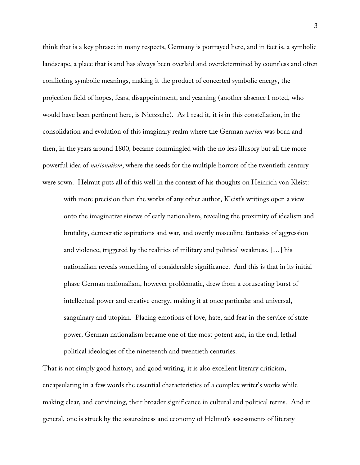think that is a key phrase: in many respects, Germany is portrayed here, and in fact is, a symbolic landscape, a place that is and has always been overlaid and overdetermined by countless and often conflicting symbolic meanings, making it the product of concerted symbolic energy, the projection field of hopes, fears, disappointment, and yearning (another absence I noted, who would have been pertinent here, is Nietzsche). As I read it, it is in this constellation, in the consolidation and evolution of this imaginary realm where the German *nation* was born and then, in the years around 1800, became commingled with the no less illusory but all the more powerful idea of *nationalism*, where the seeds for the multiple horrors of the twentieth century were sown. Helmut puts all of this well in the context of his thoughts on Heinrich von Kleist:

with more precision than the works of any other author, Kleist's writings open a view onto the imaginative sinews of early nationalism, revealing the proximity of idealism and brutality, democratic aspirations and war, and overtly masculine fantasies of aggression and violence, triggered by the realities of military and political weakness. […] his nationalism reveals something of considerable significance. And this is that in its initial phase German nationalism, however problematic, drew from a coruscating burst of intellectual power and creative energy, making it at once particular and universal, sanguinary and utopian. Placing emotions of love, hate, and fear in the service of state power, German nationalism became one of the most potent and, in the end, lethal political ideologies of the nineteenth and twentieth centuries.

That is not simply good history, and good writing, it is also excellent literary criticism, encapsulating in a few words the essential characteristics of a complex writer's works while making clear, and convincing, their broader significance in cultural and political terms. And in general, one is struck by the assuredness and economy of Helmut's assessments of literary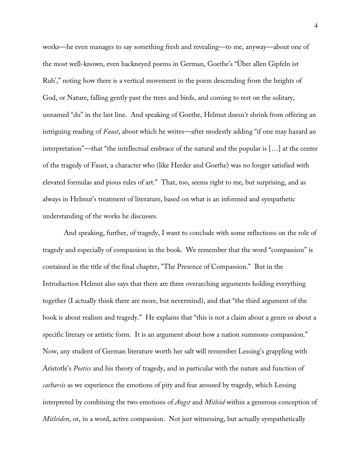works—he even manages to say something fresh and revealing—to me, anyway—about one of the most well-known, even hackneyed poems in German, Goethe's "Über allen Gipfeln ist Ruh'," noting how there is a vertical movement in the poem descending from the heights of God, or Nature, falling gently past the trees and birds, and coming to rest on the solitary, unnamed "du" in the last line. And speaking of Goethe, Helmut doesn't shrink from offering an intriguing reading of *Faust*, about which he writes—after modestly adding "if one may hazard an interpretation"—that "the intellectual embrace of the natural and the popular is […] at the center of the tragedy of Faust, a character who (like Herder and Goethe) was no longer satisfied with elevated formulas and pious rules of art." That, too, seems right to me, but surprising, and as always in Helmut's treatment of literature, based on what is an informed and sympathetic understanding of the works he discusses.

And speaking, further, of tragedy, I want to conclude with some reflections on the role of tragedy and especially of compassion in the book. We remember that the word "compassion" is contained in the title of the final chapter, "The Presence of Compassion." But in the Introduction Helmut also says that there are three overarching arguments holding everything together (I actually think there are more, but nevermind), and that "the third argument of the book is about realism and tragedy." He explains that "this is not a claim about a genre or about a specific literary or artistic form. It is an argument about how a nation summons compassion." Now, any student of German literature worth her salt will remember Lessing's grappling with Aristotle's *Poetics* and his theory of tragedy, and in particular with the nature and function of *catharsis* as we experience the emotions of pity and fear aroused by tragedy, which Lessing interpreted by combining the two emotions of *Angst* and *Mitleid* within a generous conception of *Mitleiden*, or, in a word, active compassion. Not just witnessing, but actually sympathetically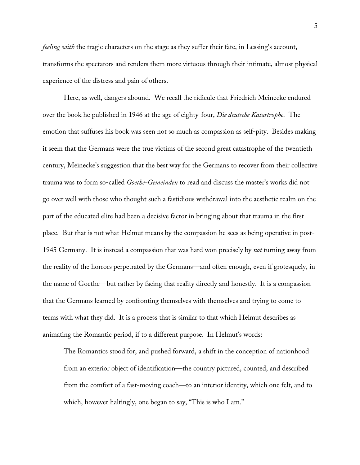*feeling with* the tragic characters on the stage as they suffer their fate, in Lessing's account, transforms the spectators and renders them more virtuous through their intimate, almost physical experience of the distress and pain of others.

Here, as well, dangers abound. We recall the ridicule that Friedrich Meinecke endured over the book he published in 1946 at the age of eighty-four, *Die deutsche Katastrophe*. The emotion that suffuses his book was seen not so much as compassion as self-pity. Besides making it seem that the Germans were the true victims of the second great catastrophe of the twentieth century, Meinecke's suggestion that the best way for the Germans to recover from their collective trauma was to form so-called *Goethe-Gemeinden* to read and discuss the master's works did not go over well with those who thought such a fastidious withdrawal into the aesthetic realm on the part of the educated elite had been a decisive factor in bringing about that trauma in the first place. But that is not what Helmut means by the compassion he sees as being operative in post-1945 Germany. It is instead a compassion that was hard won precisely by *not* turning away from the reality of the horrors perpetrated by the Germans—and often enough, even if grotesquely, in the name of Goethe—but rather by facing that reality directly and honestly. It is a compassion that the Germans learned by confronting themselves with themselves and trying to come to terms with what they did. It is a process that is similar to that which Helmut describes as animating the Romantic period, if to a different purpose. In Helmut's words:

The Romantics stood for, and pushed forward, a shift in the conception of nationhood from an exterior object of identification—the country pictured, counted, and described from the comfort of a fast-moving coach—to an interior identity, which one felt, and to which, however haltingly, one began to say, "This is who I am."